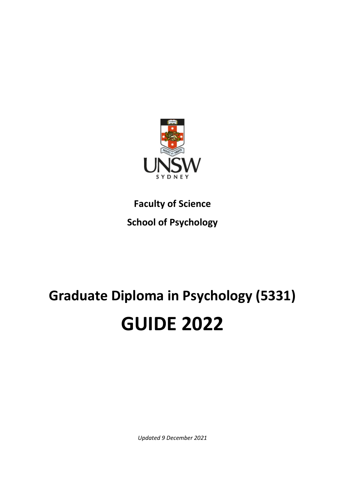

**Faculty of Science School of Psychology**

# **Graduate Diploma in Psychology (5331) GUIDE 2022**

*Updated 9 December 2021*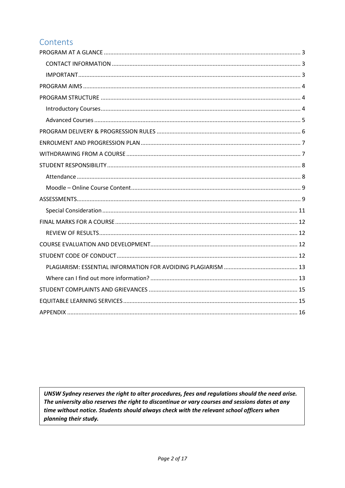# Contents

UNSW Sydney reserves the right to alter procedures, fees and regulations should the need arise. The university also reserves the right to discontinue or vary courses and sessions dates at any time without notice. Students should always check with the relevant school officers when planning their study.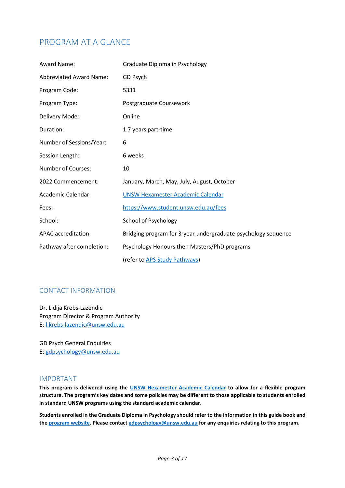# <span id="page-2-0"></span>PROGRAM AT A GLANCE

| Award Name:                    | Graduate Diploma in Psychology                                |
|--------------------------------|---------------------------------------------------------------|
| <b>Abbreviated Award Name:</b> | GD Psych                                                      |
| Program Code:                  | 5331                                                          |
| Program Type:                  | Postgraduate Coursework                                       |
| Delivery Mode:                 | Online                                                        |
| Duration:                      | 1.7 years part-time                                           |
| Number of Sessions/Year:       | 6                                                             |
| Session Length:                | 6 weeks                                                       |
| <b>Number of Courses:</b>      | 10                                                            |
| 2022 Commencement:             | January, March, May, July, August, October                    |
| Academic Calendar:             | <b>UNSW Hexamester Academic Calendar</b>                      |
| Fees:                          | https://www.student.unsw.edu.au/fees                          |
| School:                        | <b>School of Psychology</b>                                   |
| APAC accreditation:            | Bridging program for 3-year undergraduate psychology sequence |
| Pathway after completion:      | Psychology Honours then Masters/PhD programs                  |
|                                | (refer to APS Study Pathways)                                 |

#### <span id="page-2-1"></span>CONTACT INFORMATION

Dr. Lidija Krebs-Lazendic Program Director & Program Authority E: [l.krebs-lazendic@unsw.edu.au](mailto:l.krebs-lazendic@unsw.edu.au)

GD Psych General Enquiries E: [gdpsychology@unsw.edu.au](mailto:gdpsychology@unsw.edu.au)

#### <span id="page-2-2"></span>IMPORTANT

**This program is delivered using the [UNSW Hexamester Academic Calendar](https://www.student.unsw.edu.au/dates/hexamester) to allow for a flexible program structure. The program's key dates and some policies may be different to those applicable to students enrolled in standard UNSW programs using the standard academic calendar.**

**Students enrolled in the Graduate Diploma in Psychology should refer to the information in this guide book and the [program website.](http://www.psy.unsw.edu.au/future-students/graduate-diploma-psychology/) Please contact [gdpsychology@unsw.edu.au](mailto:gdpsychology@unsw.edu.au) for any enquiries relating to this program.**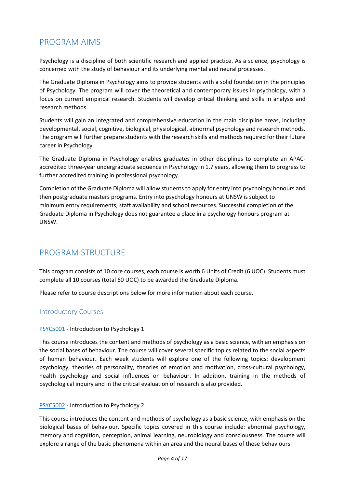# <span id="page-3-0"></span>PROGRAM AIMS

Psychology is a discipline of both scientific research and applied practice. As a science, psychology is concerned with the study of behaviour and its underlying mental and neural processes.

The Graduate Diploma in Psychology aims to provide students with a solid foundation in the principles of Psychology. The program will cover the theoretical and contemporary issues in psychology, with a focus on current empirical research. Students will develop critical thinking and skills in analysis and research methods.

Students will gain an integrated and comprehensive education in the main discipline areas, including developmental, social, cognitive, biological, physiological, abnormal psychology and research methods. The program will further prepare students with the research skills and methods required for their future career in Psychology.

The Graduate Diploma in Psychology enables graduates in other disciplines to complete an APACaccredited three-year undergraduate sequence in Psychology in 1.7 years, allowing them to progress to further accredited training in professional psychology.

Completion of the Graduate Diploma will allow students to apply for entry into psychology honours and then postgraduate masters programs. Entry into psychology honours at UNSW is subject to minimum entry requirements, staff availability and school resources. Successful completion of the Graduate Diploma in Psychology does not guarantee a place in a psychology honours program at UNSW.

# <span id="page-3-1"></span>PROGRAM STRUCTURE

This program consists of 10 core courses, each course is worth 6 Units of Credit (6 UOC). Students must complete all 10 courses (total 60 UOC) to be awarded the Graduate Diploma.

Please refer to course descriptions below for more information about each course.

#### <span id="page-3-2"></span>Introductory Courses

#### [PSYC5001](https://www.handbook.unsw.edu.au/postgraduate/courses/2022/psyc5001/) - Introduction to Psychology 1

This course introduces the content and methods of psychology as a basic science, with an emphasis on the social bases of behaviour. The course will cover several specific topics related to the social aspects of human behaviour. Each week students will explore one of the following topics: development psychology, theories of personality, theories of emotion and motivation, cross-cultural psychology, health psychology and social influences on behaviour. In addition, training in the methods of psychological inquiry and in the critical evaluation of research is also provided.

#### [PSYC5002](https://www.handbook.unsw.edu.au/postgraduate/courses/2022/psyc5002/) - Introduction to Psychology 2

This course introduces the content and methods of psychology as a basic science, with emphasis on the biological bases of behaviour. Specific topics covered in this course include: abnormal psychology, memory and cognition, perception, animal learning, neurobiology and consciousness. The course will explore a range of the basic phenomena within an area and the neural bases of these behaviours.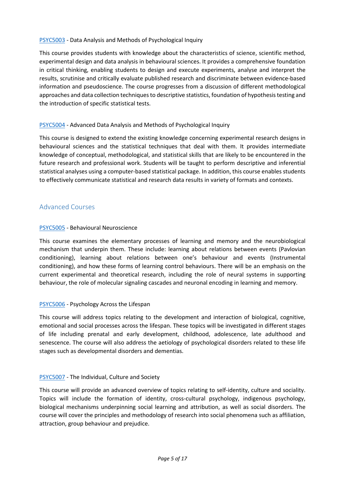#### [PSYC5003](https://www.handbook.unsw.edu.au/postgraduate/courses/2022/psyc5003/) - Data Analysis and Methods of Psychological Inquiry

This course provides students with knowledge about the characteristics of science, scientific method, experimental design and data analysis in behavioural sciences. It provides a comprehensive foundation in critical thinking, enabling students to design and execute experiments, analyse and interpret the results, scrutinise and critically evaluate published research and discriminate between evidence-based information and pseudoscience. The course progresses from a discussion of different methodological approaches and data collection techniques to descriptive statistics, foundation of hypothesis testing and the introduction of specific statistical tests.

#### [PSYC5004](https://www.handbook.unsw.edu.au/postgraduate/courses/2022/psyc5004/) - Advanced Data Analysis and Methods of Psychological Inquiry

This course is designed to extend the existing knowledge concerning experimental research designs in behavioural sciences and the statistical techniques that deal with them. It provides intermediate knowledge of conceptual, methodological, and statistical skills that are likely to be encountered in the future research and professional work. Students will be taught to perform descriptive and inferential statistical analyses using a computer-based statistical package. In addition, this course enables students to effectively communicate statistical and research data results in variety of formats and contexts.

#### <span id="page-4-0"></span>Advanced Courses

#### [PSYC5005](https://www.handbook.unsw.edu.au/postgraduate/courses/2022/psyc5005/) - Behavioural Neuroscience

This course examines the elementary processes of learning and memory and the neurobiological mechanism that underpin them. These include: learning about relations between events (Pavlovian conditioning), learning about relations between one's behaviour and events (Instrumental conditioning), and how these forms of learning control behaviours. There will be an emphasis on the current experimental and theoretical research, including the role of neural systems in supporting behaviour, the role of molecular signaling cascades and neuronal encoding in learning and memory.

#### [PSYC5006](https://www.handbook.unsw.edu.au/postgraduate/courses/2022/psyc5006/) - Psychology Across the Lifespan

This course will address topics relating to the development and interaction of biological, cognitive, emotional and social processes across the lifespan. These topics will be investigated in different stages of life including prenatal and early development, childhood, adolescence, late adulthood and senescence. The course will also address the aetiology of psychological disorders related to these life stages such as developmental disorders and dementias.

#### [PSYC5007](https://www.handbook.unsw.edu.au/postgraduate/courses/2022/psyc5007/) - The Individual, Culture and Society

This course will provide an advanced overview of topics relating to self-identity, culture and sociality. Topics will include the formation of identity, cross-cultural psychology, indigenous psychology, biological mechanisms underpinning social learning and attribution, as well as social disorders. The course will cover the principles and methodology of research into social phenomena such as affiliation, attraction, group behaviour and prejudice.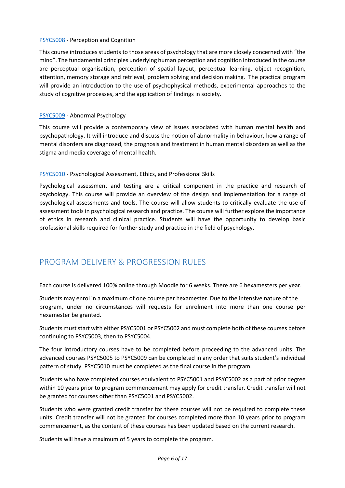#### [PSYC5008](https://www.handbook.unsw.edu.au/postgraduate/courses/2022/psyc5008/) - Perception and Cognition

This course introduces students to those areas of psychology that are more closely concerned with "the mind". The fundamental principles underlying human perception and cognition introduced in the course are perceptual organisation, perception of spatial layout, perceptual learning, object recognition, attention, memory storage and retrieval, problem solving and decision making. The practical program will provide an introduction to the use of psychophysical methods, experimental approaches to the study of cognitive processes, and the application of findings in society.

#### [PSYC5009](https://www.handbook.unsw.edu.au/postgraduate/courses/2022/psyc5009/) - Abnormal Psychology

This course will provide a contemporary view of issues associated with human mental health and psychopathology. It will introduce and discuss the notion of abnormality in behaviour, how a range of mental disorders are diagnosed, the prognosis and treatment in human mental disorders as well as the stigma and media coverage of mental health.

#### [PSYC5010](https://www.handbook.unsw.edu.au/postgraduate/courses/2022/psyc5010/) - Psychological Assessment, Ethics, and Professional Skills

Psychological assessment and testing are a critical component in the practice and research of psychology. This course will provide an overview of the design and implementation for a range of psychological assessments and tools. The course will allow students to critically evaluate the use of assessment tools in psychological research and practice. The course will further explore the importance of ethics in research and clinical practice. Students will have the opportunity to develop basic professional skills required for further study and practice in the field of psychology.

## <span id="page-5-0"></span>PROGRAM DELIVERY & PROGRESSION RULES

Each course is delivered 100% online through Moodle for 6 weeks. There are 6 hexamesters per year.

Students may enrol in a maximum of one course per hexamester. Due to the intensive nature of the program, under no circumstances will requests for enrolment into more than one course per hexamester be granted.

Students must start with either PSYC5001 or PSYC5002 and must complete both of these courses before continuing to PSYC5003, then to PSYC5004.

The four introductory courses have to be completed before proceeding to the advanced units. The advanced courses PSYC5005 to PSYC5009 can be completed in any order that suits student's individual pattern of study. PSYC5010 must be completed as the final course in the program.

Students who have completed courses equivalent to PSYC5001 and PSYC5002 as a part of prior degree within 10 years prior to program commencement may apply for credit transfer. Credit transfer will not be granted for courses other than PSYC5001 and PSYC5002.

Students who were granted credit transfer for these courses will not be required to complete these units. Credit transfer will not be granted for courses completed more than 10 years prior to program commencement, as the content of these courses has been updated based on the current research.

Students will have a maximum of 5 years to complete the program.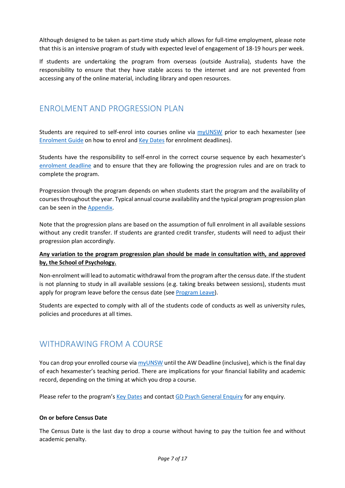Although designed to be taken as part-time study which allows for full-time employment, please note that this is an intensive program of study with expected level of engagement of 18-19 hours per week.

If students are undertaking the program from overseas (outside Australia), students have the responsibility to ensure that they have stable access to the internet and are not prevented from accessing any of the online material, including library and open resources.

## <span id="page-6-0"></span>ENROLMENT AND PROGRESSION PLAN

Students are required to self-enrol into courses online via [myUNSW](https://my.unsw.edu.au/) prior to each hexamester (see [Enrolment Guide](https://www.student.unsw.edu.au/enrolment) on how to enrol an[d Key Dates](https://www.psy.unsw.edu.au/future-students/graduate-diploma-psychology/5331-key-dates-0) for enrolment deadlines).

Students have the responsibility to self-enrol in the correct course sequence by each hexamester's [enrolment deadline](https://www.psy.unsw.edu.au/future-students/graduate-diploma-psychology/5331-key-dates-0) and to ensure that they are following the progression rules and are on track to complete the program.

Progression through the program depends on when students start the program and the availability of courses throughout the year. Typical annual course availability and the typical program progression plan can be seen in the [Appendix.](#page-15-0)

Note that the progression plans are based on the assumption of full enrolment in all available sessions without any credit transfer. If students are granted credit transfer, students will need to adjust their progression plan accordingly.

#### **Any variation to the program progression plan should be made in consultation with, and approved by, the School of Psychology.**

Non-enrolment will lead to automatic withdrawal from the program after the census date. If the student is not planning to study in all available sessions (e.g. taking breaks between sessions), students must apply for program leave before the census date (se[e Program Leave\)](https://www.student.unsw.edu.au/program-leave).

Students are expected to comply with all of the students code of conducts as well as university rules, policies and procedures at all times.

## <span id="page-6-1"></span>WITHDRAWING FROM A COURSE

You can drop your enrolled course vi[a myUNSW](https://my.unsw.edu.au/) until the AW Deadline (inclusive), which is the final day of each hexamester's teaching period. There are implications for your financial liability and academic record, depending on the timing at which you drop a course.

Please refer to the program's [Key Dates](https://www.psy.unsw.edu.au/future-students/graduate-diploma-psychology/5331-key-dates-0) and contact [GD Psych General Enquiry](mailto:gdpsychology@unsw.edu.au) for any enquiry.

#### **On or before Census Date**

The Census Date is the last day to drop a course without having to pay the tuition fee and without academic penalty.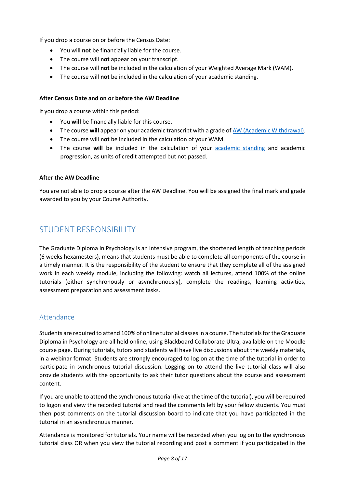If you drop a course on or before the Census Date:

- You will **not** be financially liable for the course.
- The course will **not** appear on your transcript.
- The course will **not** be included in the calculation of your Weighted Average Mark (WAM).
- The course will **not** be included in the calculation of your academic standing.

#### **After Census Date and on or before the AW Deadline**

If you drop a course within this period:

- You **will** be financially liable for this course.
- The course will appear on your academic transcript with a grade o[f AW \(Academic Withdrawal\).](https://www.student.unsw.edu.au/grade)
- The course will **not** be included in the calculation of your WAM.
- The course **will** be included in the calculation of your [academic standing](https://www.student.unsw.edu.au/academic-standing-postgrad) and academic progression, as units of credit attempted but not passed.

#### **After the AW Deadline**

You are not able to drop a course after the AW Deadline. You will be assigned the final mark and grade awarded to you by your Course Authority.

# <span id="page-7-0"></span>STUDENT RESPONSIBILITY

The Graduate Diploma in Psychology is an intensive program, the shortened length of teaching periods (6 weeks hexamesters), means that students must be able to complete all components of the course in a timely manner. It is the responsibility of the student to ensure that they complete all of the assigned work in each weekly module, including the following: watch all lectures, attend 100% of the online tutorials (either synchronously or asynchronously), complete the readings, learning activities, assessment preparation and assessment tasks.

#### <span id="page-7-1"></span>Attendance

Students are required to attend 100% of online tutorial classesin a course. The tutorials for the Graduate Diploma in Psychology are all held online, using Blackboard Collaborate Ultra, available on the Moodle course page. During tutorials, tutors and students will have live discussions about the weekly materials, in a webinar format. Students are strongly encouraged to log on at the time of the tutorial in order to participate in synchronous tutorial discussion. Logging on to attend the live tutorial class will also provide students with the opportunity to ask their tutor questions about the course and assessment content.

If you are unable to attend the synchronous tutorial (live at the time of the tutorial), you will be required to logon and view the recorded tutorial and read the comments left by your fellow students. You must then post comments on the tutorial discussion board to indicate that you have participated in the tutorial in an asynchronous manner.

Attendance is monitored for tutorials. Your name will be recorded when you log on to the synchronous tutorial class OR when you view the tutorial recording and post a comment if you participated in the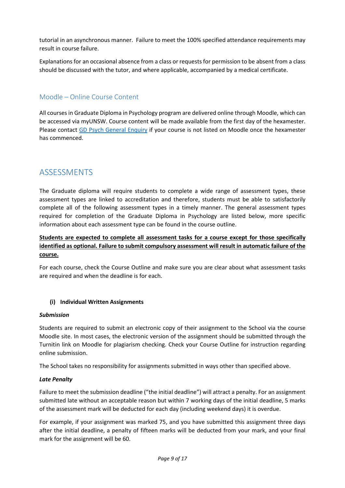tutorial in an asynchronous manner. Failure to meet the 100% specified attendance requirements may result in course failure.

Explanations for an occasional absence from a class or requests for permission to be absent from a class should be discussed with the tutor, and where applicable, accompanied by a medical certificate.

## <span id="page-8-0"></span>Moodle – Online Course Content

All courses in Graduate Diploma in Psychology program are delivered online through Moodle, which can be accessed via myUNSW. Course content will be made available from the first day of the hexamester. Please contact [GD Psych General Enquiry](mailto:gdpsychology@unsw.edu.au) if your course is not listed on Moodle once the hexamester has commenced.

# <span id="page-8-1"></span>ASSESSMENTS

The Graduate diploma will require students to complete a wide range of assessment types, these assessment types are linked to accreditation and therefore, students must be able to satisfactorily complete all of the following assessment types in a timely manner. The general assessment types required for completion of the Graduate Diploma in Psychology are listed below, more specific information about each assessment type can be found in the course outline.

#### **Students are expected to complete all assessment tasks for a course except for those specifically identified as optional. Failure to submit compulsory assessment will result in automatic failure of the course.**

For each course, check the Course Outline and make sure you are clear about what assessment tasks are required and when the deadline is for each.

#### **(i) Individual Written Assignments**

#### *Submission*

Students are required to submit an electronic copy of their assignment to the School via the course Moodle site. In most cases, the electronic version of the assignment should be submitted through the Turnitin link on Moodle for plagiarism checking. Check your Course Outline for instruction regarding online submission.

The School takes no responsibility for assignments submitted in ways other than specified above.

#### *Late Penalty*

Failure to meet the submission deadline ("the initial deadline") will attract a penalty. For an assignment submitted late without an acceptable reason but within 7 working days of the initial deadline, 5 marks of the assessment mark will be deducted for each day (including weekend days) it is overdue.

For example, if your assignment was marked 75, and you have submitted this assignment three days after the initial deadline, a penalty of fifteen marks will be deducted from your mark, and your final mark for the assignment will be 60.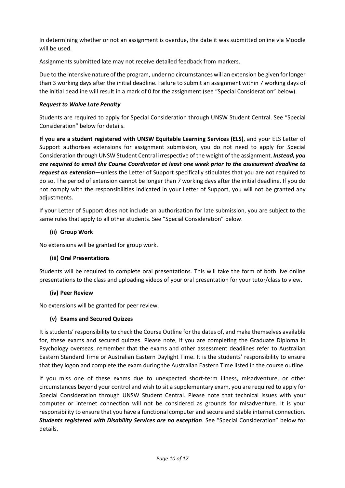In determining whether or not an assignment is overdue, the date it was submitted online via Moodle will be used.

Assignments submitted late may not receive detailed feedback from markers.

Due to the intensive nature of the program, under no circumstances will an extension be given for longer than 3 working days after the initial deadline. Failure to submit an assignment within 7 working days of the initial deadline will result in a mark of 0 for the assignment (see "Special Consideration" below).

#### *Request to Waive Late Penalty*

Students are required to apply for Special Consideration through UNSW Student Central. See "Special Consideration" below for details.

**If you are a student registered with UNSW Equitable Learning Services (ELS)**, and your ELS Letter of Support authorises extensions for assignment submission, you do not need to apply for Special Consideration through UNSW Student Central irrespective of the weight of the assignment. *Instead, you are required to email the Course Coordinator at least one week prior to the assessment deadline to request an extension*—unless the Letter of Support specifically stipulates that you are not required to do so. The period of extension cannot be longer than 7 working days after the initial deadline. If you do not comply with the responsibilities indicated in your Letter of Support, you will not be granted any adjustments.

If your Letter of Support does not include an authorisation for late submission, you are subject to the same rules that apply to all other students. See "Special Consideration" below.

#### **(ii) Group Work**

No extensions will be granted for group work.

#### **(iii) Oral Presentations**

Students will be required to complete oral presentations. This will take the form of both live online presentations to the class and uploading videos of your oral presentation for your tutor/class to view.

#### **(iv) Peer Review**

No extensions will be granted for peer review.

#### **(v) Exams and Secured Quizzes**

It is students' responsibility to check the Course Outline for the dates of, and make themselves available for, these exams and secured quizzes. Please note, if you are completing the Graduate Diploma in Psychology overseas, remember that the exams and other assessment deadlines refer to Australian Eastern Standard Time or Australian Eastern Daylight Time. It is the students' responsibility to ensure that they logon and complete the exam during the Australian Eastern Time listed in the course outline.

If you miss one of these exams due to unexpected short-term illness, misadventure, or other circumstances beyond your control and wish to sit a supplementary exam, you are required to apply for Special Consideration through UNSW Student Central. Please note that technical issues with your computer or internet connection will not be considered as grounds for misadventure. It is your responsibility to ensure that you have a functional computer and secure and stable internet connection. *Students registered with Disability Services are no exception*. See "Special Consideration" below for details.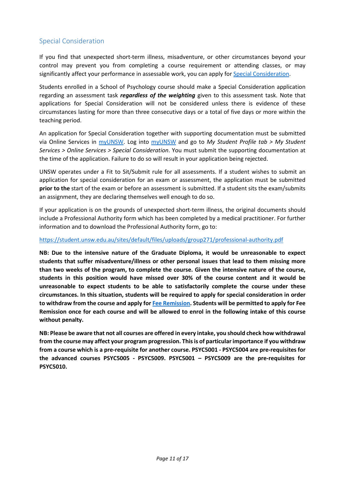### <span id="page-10-0"></span>Special Consideration

If you find that unexpected short-term illness, misadventure, or other circumstances beyond your control may prevent you from completing a course requirement or attending classes, or may significantly affect your performance in assessable work, you can apply for [Special Consideration.](https://www.student.unsw.edu.au/special-consideration)

Students enrolled in a School of Psychology course should make a Special Consideration application regarding an assessment task *regardless of the weighting* given to this assessment task. Note that applications for Special Consideration will not be considered unless there is evidence of these circumstances lasting for more than three consecutive days or a total of five days or more within the teaching period.

An application for Special Consideration together with supporting documentation must be submitted via Online Services in [myUNSW.](https://my.unsw.edu.au/) Log into [myUNSW](https://my.unsw.edu.au/) and go to *My Student Profile tab > My Student Services > Online Services > Special Consideration*. You must submit the supporting documentation at the time of the application. Failure to do so will result in your application being rejected.

UNSW operates under a Fit to Sit/Submit rule for all assessments. If a student wishes to submit an application for special consideration for an exam or assessment, the application must be submitted **prior to the** start of the exam or before an assessment is submitted. If a student sits the exam/submits an assignment, they are declaring themselves well enough to do so.

If your application is on the grounds of unexpected short-term illness, the original documents should include a Professional Authority form which has been completed by a medical practitioner. For further information and to download the Professional Authority form, go to:

#### <https://student.unsw.edu.au/sites/default/files/uploads/group271/professional-authority.pdf>

**NB: Due to the intensive nature of the Graduate Diploma, it would be unreasonable to expect students that suffer misadventure/illness or other personal issues that lead to them missing more than two weeks of the program, to complete the course. Given the intensive nature of the course, students in this position would have missed over 30% of the course content and it would be unreasonable to expect students to be able to satisfactorily complete the course under these circumstances. In this situation, students will be required to apply for special consideration in order to withdraw from the course and apply for [Fee Remission.](https://www.student.unsw.edu.au/fees/remission) Students will be permitted to apply for Fee Remission once for each course and will be allowed to enrol in the following intake of this course without penalty.** 

**NB: Please be aware that not all courses are offered in every intake, you should check how withdrawal from the course may affect your program progression. This is of particular importance if you withdraw from a course which is a pre-requisite for another course. PSYC5001 - PSYC5004 are pre-requisites for the advanced courses PSYC5005 - PSYC5009. PSYC5001 – PSYC5009 are the pre-requisites for PSYC5010.**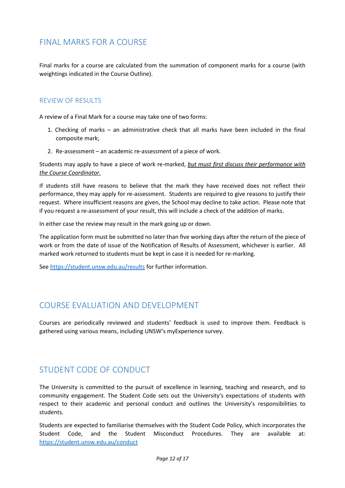# <span id="page-11-0"></span>FINAL MARKS FOR A COURSE

Final marks for a course are calculated from the summation of component marks for a course (with weightings indicated in the Course Outline).

#### <span id="page-11-1"></span>REVIEW OF RESULTS

A review of a Final Mark for a course may take one of two forms:

- 1. Checking of marks an administrative check that all marks have been included in the final composite mark;
- 2. Re-assessment an academic re-assessment of a piece of work.

Students may apply to have a piece of work re-marked, *but must first discuss their performance with the Course Coordinator.* 

If students still have reasons to believe that the mark they have received does not reflect their performance, they may apply for re-assessment. Students are required to give reasons to justify their request. Where insufficient reasons are given, the School may decline to take action. Please note that if you request a re-assessment of your result, this will include a check of the addition of marks.

In either case the review may result in the mark going up or down.

The application form must be submitted no later than five working days after the return of the piece of work or from the date of issue of the Notification of Results of Assessment, whichever is earlier. All marked work returned to students must be kept in case it is needed for re-marking.

Se[e https://student.unsw.edu.au/results](https://student.unsw.edu.au/results) for further information.

## <span id="page-11-2"></span>COURSE EVALUATION AND DEVELOPMENT

Courses are periodically reviewed and students' feedback is used to improve them. Feedback is gathered using various means, including UNSW's myExperience survey.

# <span id="page-11-3"></span>STUDENT CODE OF CONDUCT

The University is committed to the pursuit of excellence in learning, teaching and research, and to community engagement. The Student Code sets out the University's expectations of students with respect to their academic and personal conduct and outlines the University's responsibilities to students.

Students are expected to familiarise themselves with the Student Code Policy, which incorporates the Student Code, and the Student Misconduct Procedures. They are available at: <https://student.unsw.edu.au/conduct>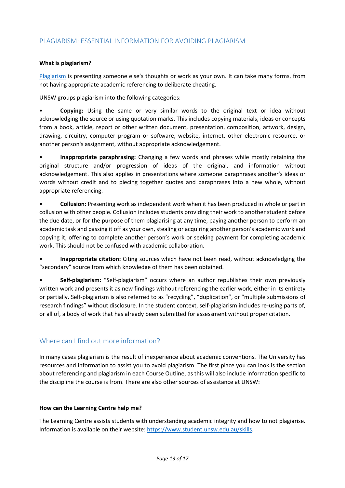#### <span id="page-12-0"></span>PLAGIARISM: ESSENTIAL INFORMATION FOR AVOIDING PLAGIARISM

#### **What is plagiarism?**

[Plagiarism](https://www.student.unsw.edu.au/plagiarism) is presenting someone else's thoughts or work as your own. It can take many forms, from not having appropriate academic referencing to deliberate cheating.

UNSW groups plagiarism into the following categories:

• **Copying:** Using the same or very similar words to the original text or idea without acknowledging the source or using quotation marks. This includes copying materials, ideas or concepts from a book, article, report or other written document, presentation, composition, artwork, design, drawing, circuitry, computer program or software, website, internet, other electronic resource, or another person's assignment, without appropriate acknowledgement.

• **Inappropriate paraphrasing:** Changing a few words and phrases while mostly retaining the original structure and/or progression of ideas of the original, and information without acknowledgement. This also applies in presentations where someone paraphrases another's ideas or words without credit and to piecing together quotes and paraphrases into a new whole, without appropriate referencing.

• **Collusion:** Presenting work as independent work when it has been produced in whole or part in collusion with other people. Collusion includes students providing their work to another student before the due date, or for the purpose of them plagiarising at any time, paying another person to perform an academic task and passing it off as your own, stealing or acquiring another person's academic work and copying it, offering to complete another person's work or seeking payment for completing academic work. This should not be confused with academic collaboration.

• **Inappropriate citation:** Citing sources which have not been read, without acknowledging the "secondary" source from which knowledge of them has been obtained.

• **Self-plagiarism:** "Self-plagiarism" occurs where an author republishes their own previously written work and presents it as new findings without referencing the earlier work, either in its entirety or partially. Self-plagiarism is also referred to as "recycling", "duplication", or "multiple submissions of research findings" without disclosure. In the student context, self-plagiarism includes re-using parts of, or all of, a body of work that has already been submitted for assessment without proper citation.

#### <span id="page-12-1"></span>Where can I find out more information?

In many cases plagiarism is the result of inexperience about academic conventions. The University has resources and information to assist you to avoid plagiarism. The first place you can look is the section about referencing and plagiarism in each Course Outline, as this will also include information specific to the discipline the course is from. There are also other sources of assistance at UNSW:

#### **How can the Learning Centre help me?**

The Learning Centre assists students with understanding academic integrity and how to not plagiarise. Information is available on their website: [https://www.student.unsw.edu.au/skills.](https://www.student.unsw.edu.au/skills)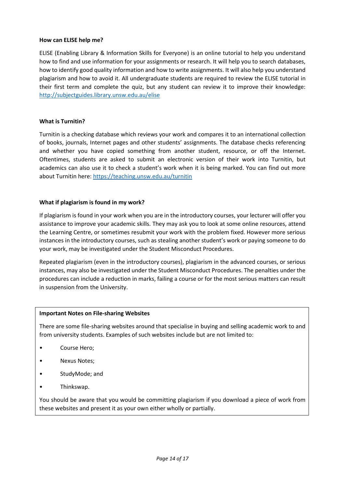#### **How can ELISE help me?**

ELISE (Enabling Library & Information Skills for Everyone) is an online tutorial to help you understand how to find and use information for your assignments or research. It will help you to search databases, how to identify good quality information and how to write assignments. It will also help you understand plagiarism and how to avoid it. All undergraduate students are required to review the ELISE tutorial in their first term and complete the quiz, but any student can review it to improve their knowledge: <http://subjectguides.library.unsw.edu.au/elise>

#### **What is Turnitin?**

Turnitin is a checking database which reviews your work and compares it to an international collection of books, journals, Internet pages and other students' assignments. The database checks referencing and whether you have copied something from another student, resource, or off the Internet. Oftentimes, students are asked to submit an electronic version of their work into Turnitin, but academics can also use it to check a student's work when it is being marked. You can find out more about Turnitin here[: https://teaching.unsw.edu.au/turnitin](https://teaching.unsw.edu.au/turnitin)

#### **What if plagiarism is found in my work?**

If plagiarism is found in your work when you are in the introductory courses, your lecturer will offer you assistance to improve your academic skills. They may ask you to look at some online resources, attend the Learning Centre, or sometimes resubmit your work with the problem fixed. However more serious instances in the introductory courses, such as stealing another student's work or paying someone to do your work, may be investigated under the Student Misconduct Procedures.

Repeated plagiarism (even in the introductory courses), plagiarism in the advanced courses, or serious instances, may also be investigated under the Student Misconduct Procedures. The penalties under the procedures can include a reduction in marks, failing a course or for the most serious matters can result in suspension from the University.

#### **Important Notes on File-sharing Websites**

There are some file-sharing websites around that specialise in buying and selling academic work to and from university students. Examples of such websites include but are not limited to:

- Course Hero;
- Nexus Notes;
- StudyMode; and
- Thinkswap.

You should be aware that you would be committing plagiarism if you download a piece of work from these websites and present it as your own either wholly or partially.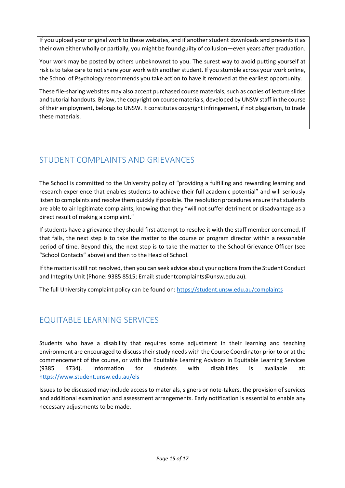If you upload your original work to these websites, and if another student downloads and presents it as their own either wholly or partially, you might be found guilty of collusion—even years after graduation.

Your work may be posted by others unbeknownst to you. The surest way to avoid putting yourself at risk is to take care to not share your work with another student. If you stumble across your work online, the School of Psychology recommends you take action to have it removed at the earliest opportunity.

These file-sharing websites may also accept purchased course materials, such as copies of lecture slides and tutorial handouts. By law, the copyright on course materials, developed by UNSW staff in the course of their employment, belongs to UNSW. It constitutes copyright infringement, if not plagiarism, to trade these materials.

# <span id="page-14-0"></span>STUDENT COMPLAINTS AND GRIEVANCES

The School is committed to the University policy of "providing a fulfilling and rewarding learning and research experience that enables students to achieve their full academic potential" and will seriously listen to complaints and resolve them quickly if possible. The resolution procedures ensure that students are able to air legitimate complaints, knowing that they "will not suffer detriment or disadvantage as a direct result of making a complaint."

If students have a grievance they should first attempt to resolve it with the staff member concerned. If that fails, the next step is to take the matter to the course or program director within a reasonable period of time. Beyond this, the next step is to take the matter to the School Grievance Officer (see "School Contacts" above) and then to the Head of School.

If the matter is still not resolved, then you can seek advice about your options from the Student Conduct and Integrity Unit (Phone: 9385 8515; Email: studentcomplaints@unsw.edu.au).

The full University complaint policy can be found on:<https://student.unsw.edu.au/complaints>

# <span id="page-14-1"></span>EQUITABLE LEARNING SERVICES

Students who have a disability that requires some adjustment in their learning and teaching environment are encouraged to discuss their study needs with the Course Coordinator prior to or at the commencement of the course, or with the Equitable Learning Advisors in Equitable Learning Services (9385 4734). Information for students with disabilities is available at: <https://www.student.unsw.edu.au/els>

Issues to be discussed may include access to materials, signers or note-takers, the provision of services and additional examination and assessment arrangements. Early notification is essential to enable any necessary adjustments to be made.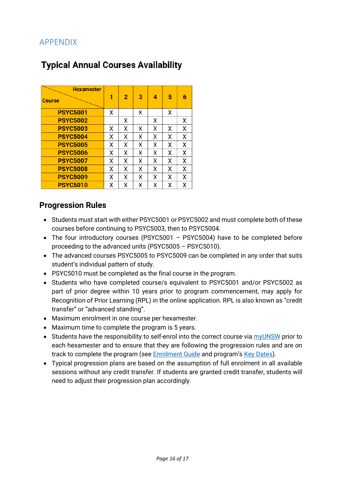# <span id="page-15-0"></span>APPENDIX

# **Typical Annual Courses Availability**

| <b>Hexamester</b> |   |                |   |   |   |   |
|-------------------|---|----------------|---|---|---|---|
| <b>Course</b>     | 1 | $\overline{2}$ | з | 4 | 5 | 6 |
| <b>PSYC5001</b>   | Χ |                | Χ |   | х |   |
| <b>PSYC5002</b>   |   | Χ              |   | Χ |   | Χ |
| <b>PSYC5003</b>   | Χ | Χ              | Χ | χ | х | Χ |
| <b>PSYC5004</b>   | Χ | Χ              | Χ | χ | Χ | Χ |
| <b>PSYC5005</b>   | Χ | χ              | Χ | χ | χ | X |
| <b>PSYC5006</b>   | Χ | Χ              | Χ | Χ | x | Χ |
| <b>PSYC5007</b>   | χ | Χ              | Χ | χ | χ | X |
| <b>PSYC5008</b>   | Χ | Χ              | χ | Χ | χ | Χ |
| <b>PSYC5009</b>   | Χ | χ              | Χ | χ | х | Χ |
| <b>PSYC5010</b>   | Χ | Χ              | Χ | Χ | Χ | Χ |

## **Progression Rules**

- Students must start with either PSYC5001 or PSYC5002 and must complete both of these courses before continuing to PSYC5003, then to PSYC5004.
- The four introductory courses (PSYC5001 PSYC5004) have to be completed before proceeding to the advanced units (PSYC5005 – PSYC5010).
- The advanced courses PSYC5005 to PSYC5009 can be completed in any order that suits student's individual pattern of study.
- PSYC5010 must be completed as the final course in the program.
- Students who have completed course/s equivalent to PSYC5001 and/or PSYC5002 as part of prior degree within 10 years prior to program commencement, may apply for Recognition of Prior Learning (RPL) in the online application. RPL is also known as "credit transfer" or "advanced standing".
- Maximum enrolment in one course per hexamester.
- Maximum time to complete the program is 5 years.
- Students have the responsibility to self-enrol into the correct course via [myUNSW](https://my.unsw.edu.au/) prior to each hexamester and to ensure that they are following the progression rules and are on track to complete the program (see **Enrolment Guide** and program's [Key Dates\)](https://www.psy.unsw.edu.au/future-students/graduate-diploma-psychology/5331-key-dates-0).
- Typical progression plans are based on the assumption of full enrolment in all available sessions without any credit transfer. If students are granted credit transfer, students will need to adjust their progression plan accordingly.